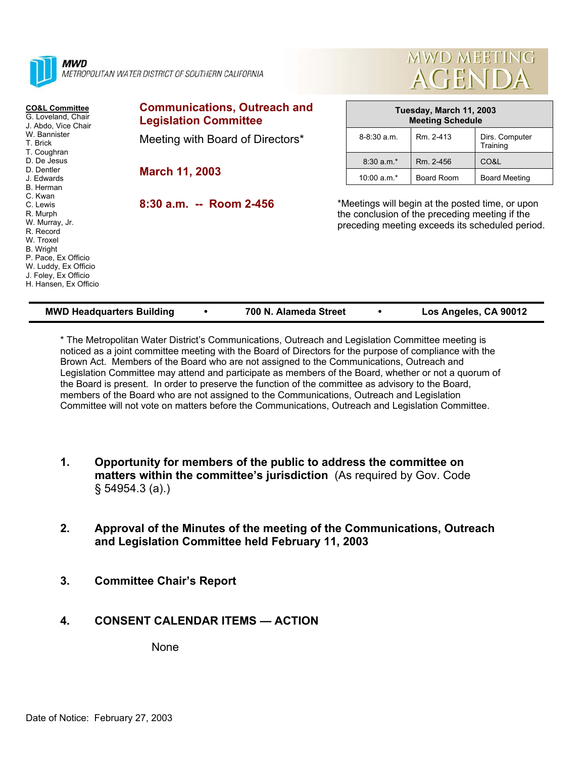| MWD<br>METROPOLITAN WATER DISTRICT OF SOUTHERN CALIFORNIA                                                                                                                                                                                                                                                                                                             |                                                                     | MWD MEETING<br><b>AGENDA</b> |                                                                                                                                                       |            |                            |
|-----------------------------------------------------------------------------------------------------------------------------------------------------------------------------------------------------------------------------------------------------------------------------------------------------------------------------------------------------------------------|---------------------------------------------------------------------|------------------------------|-------------------------------------------------------------------------------------------------------------------------------------------------------|------------|----------------------------|
| <b>CO&amp;L Committee</b><br>G. Loveland, Chair<br>J. Abdo, Vice Chair<br>W. Bannister<br>T. Brick<br>T. Coughran<br>D. De Jesus<br>D. Dentler<br>J. Edwards<br>B. Herman<br>C. Kwan<br>C. Lewis<br>R. Murph<br>W. Murray, Jr.<br>R. Record<br>W. Troxel<br>B. Wright<br>P. Pace, Ex Officio<br>W. Luddy, Ex Officio<br>J. Foley, Ex Officio<br>H. Hansen, Ex Officio | <b>Communications, Outreach and</b><br><b>Legislation Committee</b> |                              | Tuesday, March 11, 2003<br><b>Meeting Schedule</b>                                                                                                    |            |                            |
|                                                                                                                                                                                                                                                                                                                                                                       | Meeting with Board of Directors*                                    |                              | $8 - 8:30$ a.m.                                                                                                                                       | Rm. 2-413  | Dirs. Computer<br>Training |
|                                                                                                                                                                                                                                                                                                                                                                       | <b>March 11, 2003</b>                                               |                              | $8:30 a.m.*$                                                                                                                                          | Rm. 2-456  | CO&L                       |
|                                                                                                                                                                                                                                                                                                                                                                       |                                                                     |                              | 10:00 $a.m.*$                                                                                                                                         | Board Room | <b>Board Meeting</b>       |
|                                                                                                                                                                                                                                                                                                                                                                       | $8:30$ a.m. -- Room 2-456                                           |                              | *Meetings will begin at the posted time, or upon<br>the conclusion of the preceding meeting if the<br>preceding meeting exceeds its scheduled period. |            |                            |

\* The Metropolitan Water District's Communications, Outreach and Legislation Committee meeting is noticed as a joint committee meeting with the Board of Directors for the purpose of compliance with the Brown Act. Members of the Board who are not assigned to the Communications, Outreach and Legislation Committee may attend and participate as members of the Board, whether or not a quorum of the Board is present. In order to preserve the function of the committee as advisory to the Board, members of the Board who are not assigned to the Communications, Outreach and Legislation Committee will not vote on matters before the Communications, Outreach and Legislation Committee.

**MWD Headquarters Building** y **700 N. Alameda Street** y **Los Angeles, CA 90012** 

- **1. Opportunity for members of the public to address the committee on matters within the committee's jurisdiction** (As required by Gov. Code § 54954.3 (a).)
- **2. Approval of the Minutes of the meeting of the Communications, Outreach and Legislation Committee held February 11, 2003**
- **3. Committee Chair's Report**

# **4. CONSENT CALENDAR ITEMS — ACTION**

None